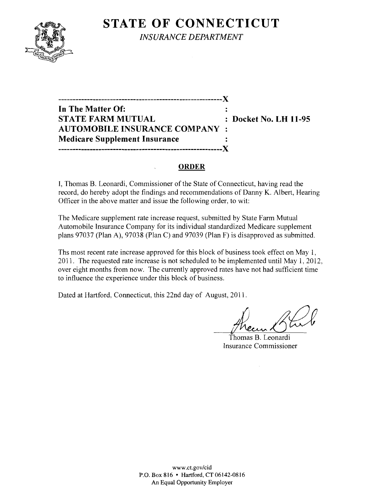# **STATE OF CONNECTICUT**



*INSURANCE DEPARTMENT* 

**---------------------------------------------------------){ In The Matter Of:**   $\ddot{\phantom{a}}$ **STATE FARM MUTUAL : Docket No. LH 11-95 AUTOMOBILE INSURANCE COMPANY Medicare Supplement Insurance ---------------------------------------------------------){** 

#### **ORDER**

I, Thomas B. Leonardi, Commissioner of the State of Connecticut, having read the record, do hereby adopt the findings and recommendations of Danny K. Albert, Hearing Officer in the above matter and issue the following order, to wit:

The Medicare supplement rate increase request, submitted by State Farm Mutual Automobile Insurance Company for its individual standardized Medicare supplement plans 97037 (Plan A), 97038 (Plan C) and 97039 (Plan F) is disapproved as submitted.

Ths most recent rate increase approved for this block of business took effect on May 1, 2011. The requested rate increase is not scheduled to be implemented until May 1, 2012, over eight months from now. The currently approved rates have not had sufficient time to influence the experience under this block of business.

Dated at Hartford, Connecticut, this 22nd day of August, 2011.

Freur Garl

Insurance Commissioner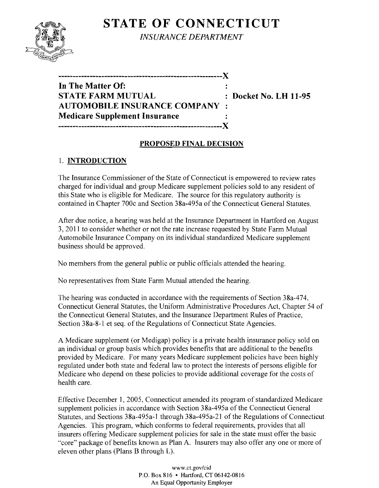# **STATE OF CONNECTICUT**



*INSURANCE DEPARTMENT* 

| In The Matter Of:                           |  |
|---------------------------------------------|--|
| <b>STATE FARM MUTUAL</b>                    |  |
| <b>AUTOMOBILE INSURANCE COMPANY:</b>        |  |
| <b>Medicare Supplement Insurance</b>        |  |
| .--------------------------------- <b>X</b> |  |

**: Docket No. LH 11-95** 

### **PROPOSED FINAL DECISION**

## 1. **INTRODUCTION**

The Insurance Commissioner of the State of Connecticut is empowered to review rates charged for individual and group Medicare supplement policies sold to any resident of this State who is eligible for Medicare. The source for this regulatory authority is contained in Chapter 700c and Section 38a-495a of the Connecticut General Statutes.

After due notice, a hearing was held at the Insurance Department in Hartford on August 3, 2011 to consider whether or not the rate increase requested by State Farm Mutual Automobile Insurance Company on its individual standardized Medicare supplement business should be approved.

No members from the general public or public officials attended the hearing.

No representatives from State Farm Mutual attended the hearing.

The hearing was conducted in accordance with the requirements of Section 38a-474, Connecticut General Statutes, the Uniform Administrative Procedures Act, Chapter 54 of the Connecticut General Statutes, and the Insurance Department Rules of Practice, Section 38a-8-l et seq. of the Regulations of Connecticut State Agencies.

A Medicare supplement (or Medigap) policy is a private health insurance policy sold on an individual or group basis which provides benefits that are additional to the benefits provided by Medicare. For many years Medicare supplement policies have been highly regulated under both state and federal law to protect the interests of persons eligible for Medicare who depend on these policies to provide additional coverage for the costs of health care.

Effective December 1, 2005, Connecticut amended its program of standardized Medicare supplement policies in accordance with Section 38a-495a of the Connecticut General Statutes, and Sections 38a-495a-l through 38a-495a-21 of the Regulations of Connecticut Agencies. This program, which conforms to federal requirements, provides that all insurers offering Medicare supplement policies for sale in the state must offer the basic "core" package of benefits known as Plan A. Insurers may also offer anyone or more of eleven other plans (Plans B through L).

> www.ct.gov/cid P.O. Box 816 • Hartford, CT 06142-0816 An Equal Opportunity Employer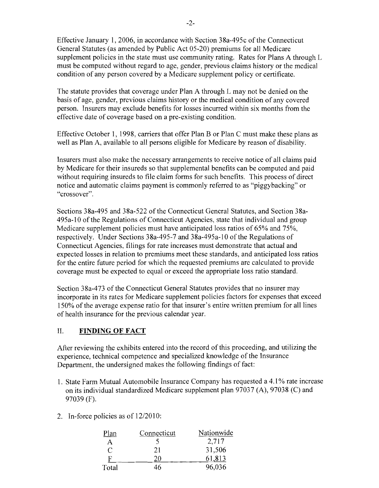Effective January 1,2006, in accordance with Section 38a-495c ofthe Connecticut General Statutes (as amended by Public Act 05-20) premiums for all Medicare supplement policies in the state must use community rating. Rates for Plans A through L must be computed without regard to age, gender, previous claims history or the medical condition of any person covered by a Medicare supplement policy or certificate.

The statute provides that coverage under Plan A through L may not be denied on the basis of age, gender, previous claims history or the medical condition of any covered person. Insurers may exclude benefits for losses incurred within six months from the effective date of coverage based on a pre-existing condition.

Effective October 1, 1998, carriers that offer Plan B or Plan C must make these plans as well as Plan A, available to all persons eligible for Medicare by reason of disability.

Insurers must also make the necessary arrangements to receive notice of all claims paid by Medicare for their insureds so that supplemental benefits can be computed and paid without requiring insureds to file claim forms for such benefits. This process of direct notice and automatic claims payment is commonly referred to as "piggybacking" or "crossover".

Sections 38a-495 and 38a-522 ofthe Connecticut General Statutes, and Section 38a-495a-l0 ofthe Regulations of Connecticut Agencies, state that individual and group Medicare supplement policies must have anticipated loss ratios of 65% and 75%, respectively. Under Sections 38a-495-7 and 38a-495a-10 of the Regulations of Connecticut Agencies, filings for rate increases must demonstrate that actual and expected losses in relation to premiums meet these standards, and anticipated loss ratios for the entire future period for which the requested premiums are calculated to provide coverage must be expected to equal or exceed the appropriate loss ratio standard.

Section 38a-473 of the Connecticut General Statutes provides that no insurer may incorporate in its rates for Medicare supplement policies factors for expenses that exceed 150% of the average expense ratio for that insurer's entire written premium for all lines of health insurance for the previous calendar year.

### II. **FINDING OF FACT**

After reviewing the exhibits entered into the record of this proceeding, and utilizing the experience, technical competence and specialized knowledge of the Insurance Department, the undersigned makes the following findings of fact:

- 1. State Farm Mutual Automobile Insurance Company has requested a 4.1 % rate increase on its individual standardized Medicare supplement plan 97037 (A), 97038 (C) and 97039 (F).
- 2. In-force policies as of 12/2010:

| Plan  | Connecticut | Nationwide |
|-------|-------------|------------|
| A     |             | 2,717      |
| €     | 21          | 31,506     |
| н     | 20          | 61,813     |
| Total | 46          | 96,036     |